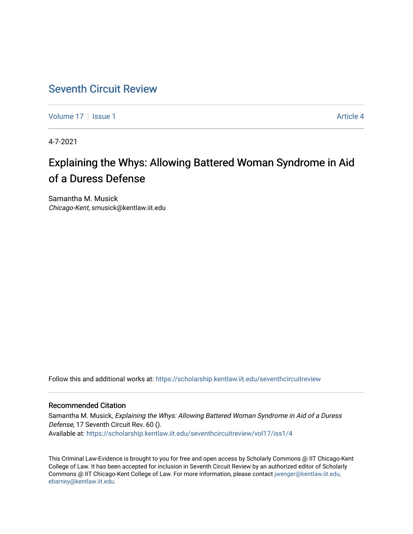## [Seventh Circuit Review](https://scholarship.kentlaw.iit.edu/seventhcircuitreview)

[Volume 17](https://scholarship.kentlaw.iit.edu/seventhcircuitreview/vol17) | [Issue 1](https://scholarship.kentlaw.iit.edu/seventhcircuitreview/vol17/iss1) Article 4

4-7-2021

# Explaining the Whys: Allowing Battered Woman Syndrome in Aid of a Duress Defense

Samantha M. Musick Chicago-Kent, smusick@kentlaw.iit.edu

Follow this and additional works at: [https://scholarship.kentlaw.iit.edu/seventhcircuitreview](https://scholarship.kentlaw.iit.edu/seventhcircuitreview?utm_source=scholarship.kentlaw.iit.edu%2Fseventhcircuitreview%2Fvol17%2Fiss1%2F4&utm_medium=PDF&utm_campaign=PDFCoverPages) 

#### Recommended Citation

Samantha M. Musick, Explaining the Whys: Allowing Battered Woman Syndrome in Aid of a Duress Defense, 17 Seventh Circuit Rev. 60 (). Available at: [https://scholarship.kentlaw.iit.edu/seventhcircuitreview/vol17/iss1/4](https://scholarship.kentlaw.iit.edu/seventhcircuitreview/vol17/iss1/4?utm_source=scholarship.kentlaw.iit.edu%2Fseventhcircuitreview%2Fvol17%2Fiss1%2F4&utm_medium=PDF&utm_campaign=PDFCoverPages) 

This Criminal Law-Evidence is brought to you for free and open access by Scholarly Commons @ IIT Chicago-Kent College of Law. It has been accepted for inclusion in Seventh Circuit Review by an authorized editor of Scholarly Commons @ IIT Chicago-Kent College of Law. For more information, please contact [jwenger@kentlaw.iit.edu,](mailto:jwenger@kentlaw.iit.edu,%20ebarney@kentlaw.iit.edu)  [ebarney@kentlaw.iit.edu](mailto:jwenger@kentlaw.iit.edu,%20ebarney@kentlaw.iit.edu).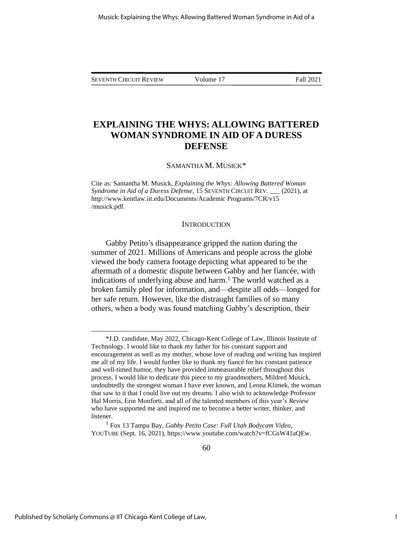SEVENTH CIRCUIT REVIEW Volume 17 Fall 2021

### **EXPLAINING THE WHYS: ALLOWING BATTERED WOMAN SYNDROME IN AID OF A DURESS DEFENSE**

SAMANTHA M. MUSICK\*

Cite as: Samantha M. Musick, *Explaining the Whys: Allowing Battered Woman Syndrome in Aid of a Duress Defense*, 15 SEVENTH CIRCUIT REV. \_\_\_ (2021), at http://www.kentlaw.iit.edu/Documents/Academic Programs/7CR/v15 /musick.pdf.

#### **INTRODUCTION**

Gabby Petito's disappearance gripped the nation during the summer of 2021. Millions of Americans and people across the globe viewed the body camera footage depicting what appeared to be the aftermath of a domestic dispute between Gabby and her fiancée, with indications of underlying abuse and harm.<sup>1</sup> The world watched as a broken family pled for information, and—despite all odds—longed for her safe return. However, like the distraught families of so many others, when a body was found matching Gabby's description, their

<sup>\*</sup>J.D. candidate, May 2022, Chicago-Kent College of Law, Illinois Institute of Technology. I would like to thank my father for his constant support and encouragement as well as my mother, whose love of reading and writing has inspired me all of my life. I would further like to thank my fiancé for his constant patience and well-timed humor, they have provided immeasurable relief throughout this process. I would like to dedicate this piece to my grandmothers, Mildred Musick, undoubtedly the strongest woman I have ever known, and Leona Klimek, the woman that saw to it that I could live out my dreams. I also wish to acknowledge Professor Hal Morris, Erin Monforti, and all of the talented members of this year's *Review* who have supported me and inspired me to become a better writer, thinker, and listener.

<sup>1</sup> Fox 13 Tampa Bay, *Gabby Petito Case: Full Utah Bodycam Video*, YOUTUBE (Sept. 16, 2021), https://www.youtube.com/watch?v=fCGsW41aQEw.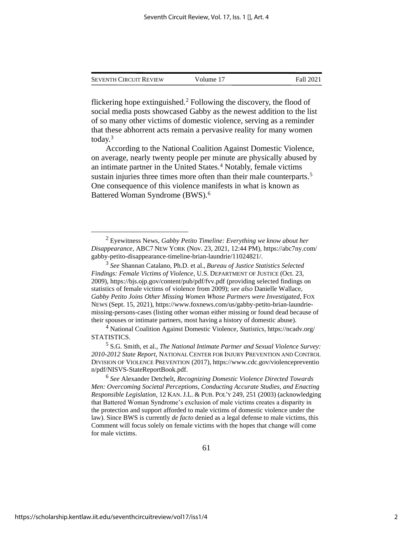| <b>SEVENTH CIRCUIT REVIEW</b> | Volume 17 | Fall 2021 |
|-------------------------------|-----------|-----------|
|                               |           |           |

flickering hope extinguished.<sup>2</sup> Following the discovery, the flood of social media posts showcased Gabby as the newest addition to the list of so many other victims of domestic violence, serving as a reminder that these abhorrent acts remain a pervasive reality for many women today.<sup>3</sup>

According to the National Coalition Against Domestic Violence, on average, nearly twenty people per minute are physically abused by an intimate partner in the United States.<sup>4</sup> Notably, female victims sustain injuries three times more often than their male counterparts.<sup>5</sup> One consequence of this violence manifests in what is known as Battered Woman Syndrome (BWS).<sup>6</sup>

<sup>2</sup> Eyewitness News, *Gabby Petito Timeline: Everything we know about her Disappearance*, ABC7 NEW YORK (Nov. 23, 2021, 12:44 PM), https://abc7ny.com/ gabby-petito-disappearance-timeline-brian-laundrie/11024821/.

<sup>3</sup> *See* Shannan Catalano, Ph.D. et al., *Bureau of Justice Statistics Selected Findings: Female Victims of Violence*, U.S. DEPARTMENT OF JUSTICE (Oct. 23, 2009), https://bjs.ojp.gov/content/pub/pdf/fvv.pdf (providing selected findings on statistics of female victims of violence from 2009); *see also* Danielle Wallace, *Gabby Petito Joins Other Missing Women Whose Partners were Investigated*, FOX NEWS (Sept. 15, 2021), https://www.foxnews.com/us/gabby-petito-brian-laundriemissing-persons-cases (listing other woman either missing or found dead because of their spouses or intimate partners, most having a history of domestic abuse).

<sup>4</sup> National Coalition Against Domestic Violence, *Statistics*, https://ncadv.org/ STATISTICS.

<sup>5</sup> S.G. Smith, et al., *The National Intimate Partner and Sexual Violence Survey: 2010-2012 State Report*, NATIONAL CENTER FOR INJURY PREVENTION AND CONTROL DIVISION OF VIOLENCE PREVENTION (2017), https://www.cdc.gov/violencepreventio n/pdf/NISVS-StateReportBook.pdf.

<sup>6</sup> *See* Alexander Detchelt, *Recognizing Domestic Violence Directed Towards Men: Overcoming Societal Perceptions, Conducting Accurate Studies, and Enacting Responsible Legislation*, 12 KAN. J.L. & PUB.POL'Y 249, 251 (2003) (acknowledging that Battered Woman Syndrome's exclusion of male victims creates a disparity in the protection and support afforded to male victims of domestic violence under the law). Since BWS is currently *de facto* denied as a legal defense to male victims, this Comment will focus solely on female victims with the hopes that change will come for male victims.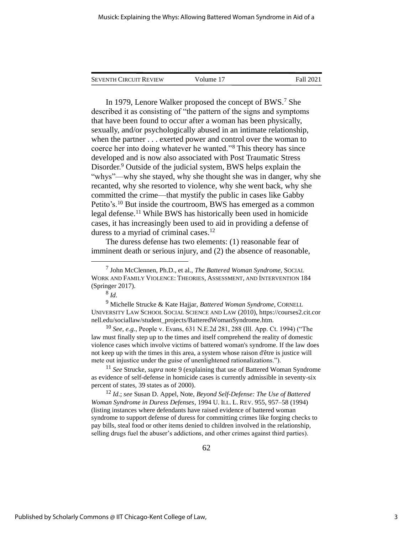| <b>SEVENTH CIRCUIT REVIEW</b> | Volume 17 | Fall 2021 |
|-------------------------------|-----------|-----------|
|                               |           |           |

In 1979, Lenore Walker proposed the concept of BWS.<sup>7</sup> She described it as consisting of "the pattern of the signs and symptoms that have been found to occur after a woman has been physically, sexually, and/or psychologically abused in an intimate relationship, when the partner . . . exerted power and control over the woman to coerce her into doing whatever he wanted."<sup>8</sup> This theory has since developed and is now also associated with Post Traumatic Stress Disorder.<sup>9</sup> Outside of the judicial system, BWS helps explain the "whys"—why she stayed, why she thought she was in danger, why she recanted, why she resorted to violence, why she went back, why she committed the crime—that mystify the public in cases like Gabby Petito's.<sup>10</sup> But inside the courtroom, BWS has emerged as a common legal defense.<sup>11</sup> While BWS has historically been used in homicide cases, it has increasingly been used to aid in providing a defense of duress to a myriad of criminal cases.<sup>12</sup>

The duress defense has two elements: (1) reasonable fear of imminent death or serious injury, and (2) the absence of reasonable,

<sup>10</sup> *See, e.g.*, People v. Evans, 631 N.E.2d 281, 288 (Ill. App. Ct. 1994) ("The law must finally step up to the times and itself comprehend the reality of domestic violence cases which involve victims of battered woman's syndrome. If the law does not keep up with the times in this area, a system whose raison d'être is justice will mete out injustice under the guise of unenlightened rationalizations.").

<sup>11</sup> *See* Strucke, *supra* note 9 (explaining that use of Battered Woman Syndrome as evidence of self-defense in homicide cases is currently admissible in seventy-six percent of states, 39 states as of 2000).

<sup>12</sup> *Id*.; *see* Susan D. Appel, Note, *Beyond Self-Defense: The Use of Battered Woman Syndrome in Duress Defenses*, 1994 U. ILL. L. REV. 955, 957–58 (1994) (listing instances where defendants have raised evidence of battered woman syndrome to support defense of duress for committing crimes like forging checks to pay bills, steal food or other items denied to children involved in the relationship, selling drugs fuel the abuser's addictions, and other crimes against third parties).

<sup>7</sup> John McClennen, Ph.D., et al., *The Battered Woman Syndrome*, SOCIAL WORK AND FAMILY VIOLENCE: THEORIES, ASSESSMENT, AND INTERVENTION 184 (Springer 2017).

<sup>8</sup> *Id*.

<sup>9</sup> Michelle Strucke & Kate Hajjar, *Battered Woman Syndrome*, CORNELL UNIVERSITY LAW SCHOOL SOCIAL SCIENCE AND LAW (2010), https://courses2.cit.cor nell.edu/sociallaw/student\_projects/BatteredWomanSyndrome.htm.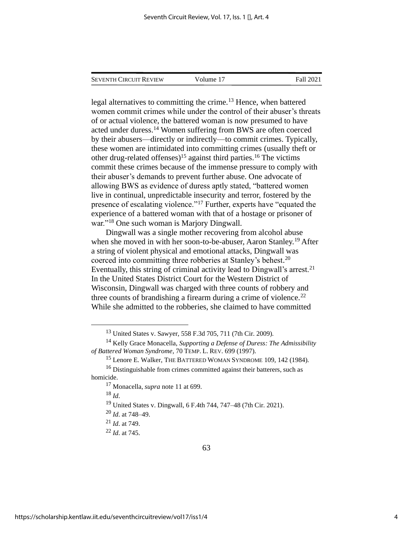|  | <b>SEVENTH CIRCUIT REVIEW</b> | Volume 17 | Fall 2021 |
|--|-------------------------------|-----------|-----------|
|--|-------------------------------|-----------|-----------|

legal alternatives to committing the crime.<sup>13</sup> Hence, when battered women commit crimes while under the control of their abuser's threats of or actual violence, the battered woman is now presumed to have acted under duress.<sup>14</sup> Women suffering from BWS are often coerced by their abusers—directly or indirectly—to commit crimes. Typically, these women are intimidated into committing crimes (usually theft or other drug-related offenses)<sup>15</sup> against third parties.<sup>16</sup> The victims commit these crimes because of the immense pressure to comply with their abuser's demands to prevent further abuse. One advocate of allowing BWS as evidence of duress aptly stated, "battered women live in continual, unpredictable insecurity and terror, fostered by the presence of escalating violence."<sup>17</sup> Further, experts have "equated the experience of a battered woman with that of a hostage or prisoner of war."<sup>18</sup> One such woman is Marjory Dingwall.

Dingwall was a single mother recovering from alcohol abuse when she moved in with her soon-to-be-abuser, Aaron Stanley.<sup>19</sup> After a string of violent physical and emotional attacks, Dingwall was coerced into committing three robberies at Stanley's behest. 20 Eventually, this string of criminal activity lead to Dingwall's arrest.<sup>21</sup> In the United States District Court for the Western District of Wisconsin, Dingwall was charged with three counts of robbery and three counts of brandishing a firearm during a crime of violence.<sup>22</sup> While she admitted to the robberies, she claimed to have committed

<sup>18</sup> *Id*.

<sup>19</sup> United States v. Dingwall, 6 F.4th 744, 747–48 (7th Cir. 2021).

<sup>13</sup> United States v. Sawyer, 558 F.3d 705, 711 (7th Cir. 2009).

<sup>14</sup> Kelly Grace Monacella, *Supporting a Defense of Duress: The Admissibility of Battered Woman Syndrome*, 70 TEMP. L. REV. 699 (1997).

<sup>15</sup> Lenore E. Walker, THE BATTERED WOMAN SYNDROME 109, 142 (1984).

<sup>&</sup>lt;sup>16</sup> Distinguishable from crimes committed against their batterers, such as homicide.

<sup>17</sup> Monacella, *supra* note 11 at 699.

<sup>20</sup> *Id*. at 748–49.

<sup>21</sup> *Id*. at 749.

<sup>22</sup> *Id*. at 745.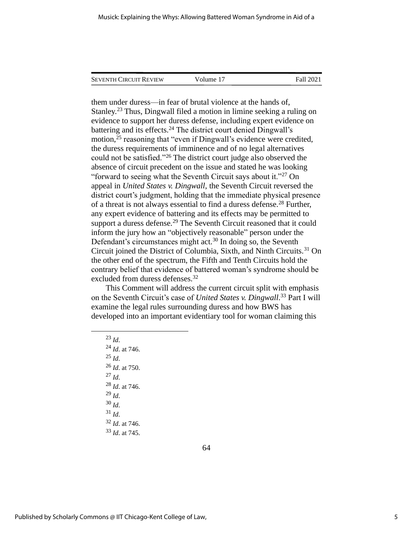| <b>SEVENTH CIRCUIT REVIEW</b> | Volume 17 | Fall 2021 |
|-------------------------------|-----------|-----------|
|                               |           |           |

them under duress—in fear of brutal violence at the hands of, Stanley.<sup>23</sup> Thus, Dingwall filed a motion in limine seeking a ruling on evidence to support her duress defense, including expert evidence on battering and its effects.<sup>24</sup> The district court denied Dingwall's motion, $^{25}$  reasoning that "even if Dingwall's evidence were credited, the duress requirements of imminence and of no legal alternatives could not be satisfied."<sup>26</sup> The district court judge also observed the absence of circuit precedent on the issue and stated he was looking "forward to seeing what the Seventh Circuit says about it."<sup>27</sup> On appeal in *United States v. Dingwall*, the Seventh Circuit reversed the district court's judgment, holding that the immediate physical presence of a threat is not always essential to find a duress defense.<sup>28</sup> Further, any expert evidence of battering and its effects may be permitted to support a duress defense.<sup>29</sup> The Seventh Circuit reasoned that it could inform the jury how an "objectively reasonable" person under the Defendant's circumstances might act.<sup>30</sup> In doing so, the Seventh Circuit joined the District of Columbia, Sixth, and Ninth Circuits.<sup>31</sup> On the other end of the spectrum, the Fifth and Tenth Circuits hold the contrary belief that evidence of battered woman's syndrome should be excluded from duress defenses.<sup>32</sup>

This Comment will address the current circuit split with emphasis on the Seventh Circuit's case of *United States v. Dingwall*. <sup>33</sup> Part I will examine the legal rules surrounding duress and how BWS has developed into an important evidentiary tool for woman claiming this

<sup>23</sup> *Id*. <sup>24</sup> *Id*. at 746.  $^{25}$  *Id.* <sup>26</sup> *Id*. at 750.  $^{27}$  *Id.* <sup>28</sup> *Id*. at 746. <sup>29</sup> *Id*. <sup>30</sup> *Id*.  $31$  *Id.* <sup>32</sup> *Id*. at 746. <sup>33</sup> *Id*. at 745.

64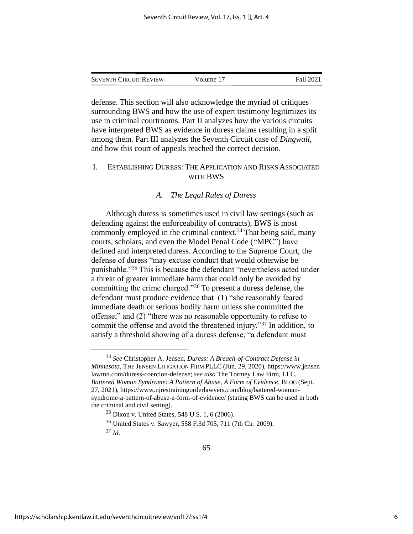| <b>SEVENTH CIRCUIT REVIEW</b> | Volume 17 | Fall 2021 |
|-------------------------------|-----------|-----------|
|                               |           |           |

defense. This section will also acknowledge the myriad of critiques surrounding BWS and how the use of expert testimony legitimizes its use in criminal courtrooms. Part II analyzes how the various circuits have interpreted BWS as evidence in duress claims resulting in a split among them. Part III analyzes the Seventh Circuit case of *Dingwall*, and how this court of appeals reached the correct decision.

#### I. ESTABLISHING DURESS: THE APPLICATION AND RISKS ASSOCIATED WITH BWS

#### *A. The Legal Rules of Duress*

Although duress is sometimes used in civil law settings (such as defending against the enforceability of contracts), BWS is most commonly employed in the criminal context.<sup>34</sup> That being said, many courts, scholars, and even the Model Penal Code ("MPC") have defined and interpreted duress. According to the Supreme Court, the defense of duress "may excuse conduct that would otherwise be punishable."<sup>35</sup> This is because the defendant "nevertheless acted under a threat of greater immediate harm that could only be avoided by committing the crime charged."<sup>36</sup> To present a duress defense, the defendant must produce evidence that (1) "she reasonably feared immediate death or serious bodily harm unless she committed the offense;" and (2) "there was no reasonable opportunity to refuse to commit the offense and avoid the threatened injury."<sup>37</sup> In addition, to satisfy a threshold showing of a duress defense, "a defendant must

<sup>34</sup> *See* Christopher A. Jensen, *Duress: A Breach-of-Contract Defense in Minnesota*, THE JENSEN LITIGATION FIRM PLLC (Jun. 29, 2020), https://www.jensen lawmn.com/duress-coercion-defense; *see also* The Tormey Law Firm, LLC, *Battered Woman Syndrome: A Pattern of Abuse, A Form of Evidence*, BLOG (Sept. 27, 2021), https://www.njrestrainingorderlawyers.com/blog/battered-womansyndrome-a-pattern-of-abuse-a-form-of-evidence/ (stating BWS can be used in both the criminal and civil setting).

 $35$  Dixon v. United States, 548 U.S. 1, 6 (2006).

<sup>36</sup> United States v. Sawyer, 558 F.3d 705, 711 (7th Cir. 2009). <sup>37</sup> *Id*.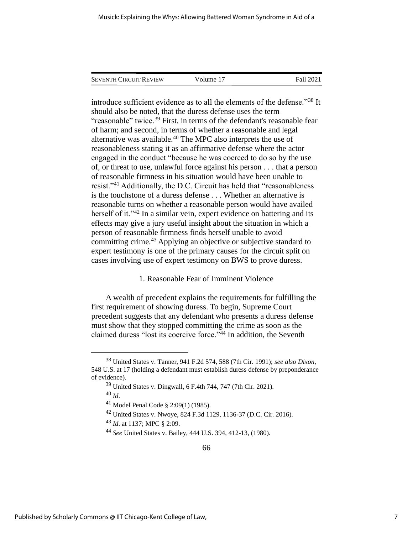| <b>SEVENTH CIRCUIT REVIEW</b> | Volume 17 | Fall 2021 |
|-------------------------------|-----------|-----------|

introduce sufficient evidence as to all the elements of the defense."<sup>38</sup> It should also be noted, that the duress defense uses the term "reasonable" twice.<sup>39</sup> First, in terms of the defendant's reasonable fear of harm; and second, in terms of whether a reasonable and legal alternative was available.<sup>40</sup> The MPC also interprets the use of reasonableness stating it as an affirmative defense where the actor engaged in the conduct "because he was coerced to do so by the use of, or threat to use, unlawful force against his person . . . that a person of reasonable firmness in his situation would have been unable to resist."<sup>41</sup> Additionally, the D.C. Circuit has held that "reasonableness is the touchstone of a duress defense . . . Whether an alternative is reasonable turns on whether a reasonable person would have availed herself of it."<sup>42</sup> In a similar vein, expert evidence on battering and its effects may give a jury useful insight about the situation in which a person of reasonable firmness finds herself unable to avoid committing crime.<sup>43</sup> Applying an objective or subjective standard to expert testimony is one of the primary causes for the circuit split on cases involving use of expert testimony on BWS to prove duress.

#### 1. Reasonable Fear of Imminent Violence

A wealth of precedent explains the requirements for fulfilling the first requirement of showing duress. To begin, Supreme Court precedent suggests that any defendant who presents a duress defense must show that they stopped committing the crime as soon as the claimed duress "lost its coercive force."<sup>44</sup> In addition, the Seventh

<sup>38</sup> United States v. Tanner, 941 F.2d 574, 588 (7th Cir. 1991); *see also Dixon*, 548 U.S. at 17 (holding a defendant must establish duress defense by preponderance of evidence).

 $39$  United States v. Dingwall, 6 F.4th 744, 747 (7th Cir. 2021). <sup>40</sup> *Id*.

<sup>41</sup> Model Penal Code § 2:09(1) (1985).

<sup>42</sup> United States v. Nwoye, 824 F.3d 1129, 1136-37 (D.C. Cir. 2016).

<sup>43</sup> *Id*. at 1137; MPC § 2:09.

<sup>44</sup> *See* United States v. Bailey, 444 U.S. 394, 412-13, (1980).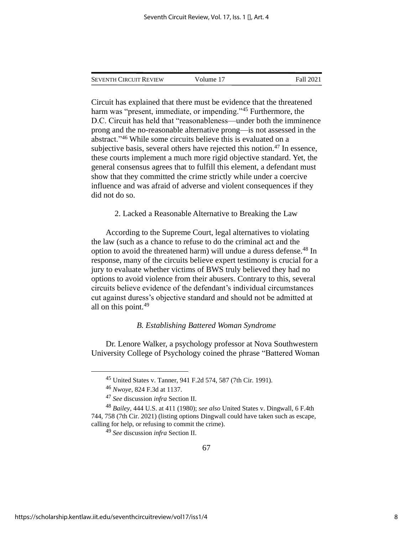| <b>SEVENTH CIRCUIT REVIEW</b> | Volume 17 | Fall 2021 |
|-------------------------------|-----------|-----------|
|                               |           |           |

Circuit has explained that there must be evidence that the threatened harm was "present, immediate, or impending."<sup>45</sup> Furthermore, the D.C. Circuit has held that "reasonableness—under both the imminence prong and the no-reasonable alternative prong—is not assessed in the abstract."<sup>46</sup> While some circuits believe this is evaluated on a subjective basis, several others have rejected this notion.<sup>47</sup> In essence, these courts implement a much more rigid objective standard. Yet, the general consensus agrees that to fulfill this element, a defendant must show that they committed the crime strictly while under a coercive influence and was afraid of adverse and violent consequences if they did not do so.

2. Lacked a Reasonable Alternative to Breaking the Law

According to the Supreme Court, legal alternatives to violating the law (such as a chance to refuse to do the criminal act and the option to avoid the threatened harm) will undue a duress defense.<sup>48</sup> In response, many of the circuits believe expert testimony is crucial for a jury to evaluate whether victims of BWS truly believed they had no options to avoid violence from their abusers. Contrary to this, several circuits believe evidence of the defendant's individual circumstances cut against duress's objective standard and should not be admitted at all on this point.<sup>49</sup>

#### *B. Establishing Battered Woman Syndrome*

Dr. Lenore Walker, a psychology professor at Nova Southwestern University College of Psychology coined the phrase "Battered Woman

<sup>45</sup> United States v. Tanner, 941 F.2d 574, 587 (7th Cir. 1991).

<sup>46</sup> *Nwoye*, 824 F.3d at 1137.

<sup>47</sup> *See* discussion *infra* Section II.

<sup>48</sup> *Bailey*, 444 U.S. at 411 (1980); *see also* United States v. Dingwall, 6 F.4th 744, 758 (7th Cir. 2021) (listing options Dingwall could have taken such as escape, calling for help, or refusing to commit the crime).

<sup>49</sup> *See* discussion *infra* Section II.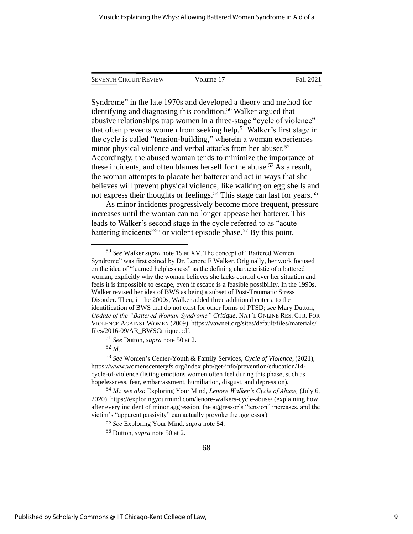| <b>SEVENTH CIRCUIT REVIEW</b> | Volume 17 | Fall 2021 |
|-------------------------------|-----------|-----------|
|                               |           |           |

Syndrome" in the late 1970s and developed a theory and method for identifying and diagnosing this condition.<sup>50</sup> Walker argued that abusive relationships trap women in a three-stage "cycle of violence" that often prevents women from seeking help.<sup>51</sup> Walker's first stage in the cycle is called "tension-building," wherein a woman experiences minor physical violence and verbal attacks from her abuser.<sup>52</sup> Accordingly, the abused woman tends to minimize the importance of these incidents, and often blames herself for the abuse.<sup>53</sup> As a result, the woman attempts to placate her batterer and act in ways that she believes will prevent physical violence, like walking on egg shells and not express their thoughts or feelings.<sup>54</sup> This stage can last for years.<sup>55</sup>

As minor incidents progressively become more frequent, pressure increases until the woman can no longer appease her batterer. This leads to Walker's second stage in the cycle referred to as "acute battering incidents<sup> $156$ </sup> or violent episode phase.<sup>57</sup> By this point,

<sup>50</sup> *See* Walker *supra* note 15 at XV. The concept of "Battered Women Syndrome" was first coined by Dr. Lenore E Walker. Originally, her work focused on the idea of "learned helplessness" as the defining characteristic of a battered woman, explicitly why the woman believes she lacks control over her situation and feels it is impossible to escape, even if escape is a feasible possibility. In the 1990s, Walker revised her idea of BWS as being a subset of Post-Traumatic Stress Disorder. Then, in the 2000s, Walker added three additional criteria to the identification of BWS that do not exist for other forms of PTSD; *see* Mary Dutton, *Update of the "Battered Woman Syndrome" Critique*, NAT'L ONLINE RES. CTR.FOR VIOLENCE AGAINST WOMEN (2009), https://vawnet.org/sites/default/files/materials/ files/2016-09/AR\_BWSCritique.pdf.

<sup>51</sup> *See* Dutton, *supra* note 50 at 2.

<sup>52</sup> *Id*.

<sup>53</sup> *See* Women's Center-Youth & Family Services, *Cycle of Violence*, (2021), https://www.womenscenteryfs.org/index.php/get-info/prevention/education/14 cycle-of-violence (listing emotions women often feel during this phase, such as hopelessness, fear, embarrassment, humiliation, disgust, and depression).

<sup>54</sup> *Id*.; *see also* Exploring Your Mind, *Lenore Walker's Cycle of Abuse,* (July 6, 2020), https://exploringyourmind.com/lenore-walkers-cycle-abuse/ (explaining how after every incident of minor aggression, the aggressor's "tension" increases, and the victim's "apparent passivity" can actually provoke the aggressor).

<sup>55</sup> *See* Exploring Your Mind, *supra* note 54.

<sup>56</sup> Dutton, *supra* note 50 at 2.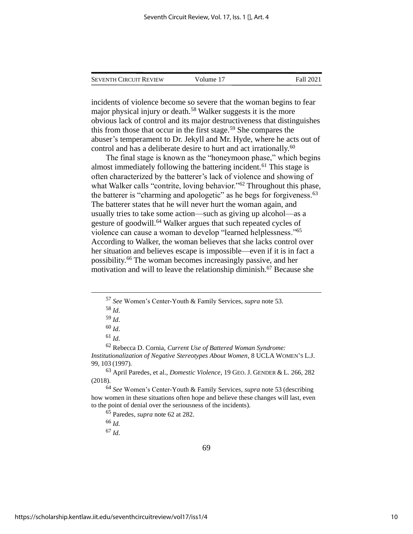| <b>SEVENTH CIRCUIT REVIEW</b> | Volume 17 | Fall 2021 |
|-------------------------------|-----------|-----------|
|                               |           |           |

incidents of violence become so severe that the woman begins to fear major physical injury or death.<sup>58</sup> Walker suggests it is the more obvious lack of control and its major destructiveness that distinguishes this from those that occur in the first stage.<sup>59</sup> She compares the abuser's temperament to Dr. Jekyll and Mr. Hyde, where he acts out of control and has a deliberate desire to hurt and act irrationally.<sup>60</sup>

The final stage is known as the "honeymoon phase," which begins almost immediately following the battering incident.<sup>61</sup> This stage is often characterized by the batterer's lack of violence and showing of what Walker calls "contrite, loving behavior."<sup>62</sup> Throughout this phase, the batterer is "charming and apologetic" as he begs for forgiveness.<sup>63</sup> The batterer states that he will never hurt the woman again, and usually tries to take some action—such as giving up alcohol—as a gesture of goodwill.<sup>64</sup> Walker argues that such repeated cycles of violence can cause a woman to develop "learned helplessness."<sup>65</sup> According to Walker, the woman believes that she lacks control over her situation and believes escape is impossible—even if it is in fact a possibility.<sup>66</sup> The woman becomes increasingly passive, and her motivation and will to leave the relationship diminish.<sup>67</sup> Because she

<sup>63</sup> April Paredes, et al., *Domestic Violence*, 19 GEO. J. GENDER & L. 266, 282 (2018).

<sup>65</sup> Paredes, *supra* note 62 at 282.

<sup>66</sup> *Id.* 

<sup>67</sup> *Id*.

<sup>57</sup> *See* Women's Center-Youth & Family Services, *supra* note 53.

<sup>58</sup> *Id*.

<sup>59</sup> *Id*.

<sup>60</sup> *Id*.

<sup>61</sup> *Id*.

<sup>62</sup> Rebecca D. Cornia, *Current Use of Battered Woman Syndrome: Institutionalization of Negative Stereotypes About Women*, 8 UCLA WOMEN'S L.J. 99, 103 (1997).

<sup>64</sup> *See* Women's Center-Youth & Family Services, *supra* note 53 (describing how women in these situations often hope and believe these changes will last, even to the point of denial over the seriousness of the incidents).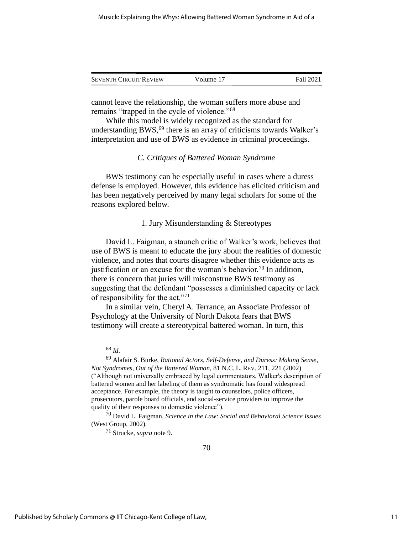| <b>SEVENTH CIRCUIT REVIEW</b> | Volume 17 | Fall 2021 |
|-------------------------------|-----------|-----------|
|                               |           |           |

cannot leave the relationship, the woman suffers more abuse and remains "trapped in the cycle of violence."<sup>68</sup>

While this model is widely recognized as the standard for understanding BWS, $^{69}$  there is an array of criticisms towards Walker's interpretation and use of BWS as evidence in criminal proceedings.

#### *C. Critiques of Battered Woman Syndrome*

BWS testimony can be especially useful in cases where a duress defense is employed. However, this evidence has elicited criticism and has been negatively perceived by many legal scholars for some of the reasons explored below.

#### 1. Jury Misunderstanding & Stereotypes

David L. Faigman, a staunch critic of Walker's work, believes that use of BWS is meant to educate the jury about the realities of domestic violence, and notes that courts disagree whether this evidence acts as justification or an excuse for the woman's behavior.<sup>70</sup> In addition, there is concern that juries will misconstrue BWS testimony as suggesting that the defendant "possesses a diminished capacity or lack of responsibility for the act."<sup>71</sup>

In a similar vein, Cheryl A. Terrance, an Associate Professor of Psychology at the University of North Dakota fears that BWS testimony will create a stereotypical battered woman. In turn, this

<sup>68</sup> *Id*.

<sup>69</sup> Alafair S. Burke, *Rational Actors, Self-Defense, and Duress: Making Sense, Not Syndromes, Out of the Battered Woman,* 81 N.C. L. REV. 211, 221 (2002) ("Although not universally embraced by legal commentators, Walker's description of battered women and her labeling of them as syndromatic has found widespread acceptance. For example, the theory is taught to counselors, police officers, prosecutors, parole board officials, and social-service providers to improve the quality of their responses to domestic violence").

<sup>70</sup> David L. Faigman, *Science in the Law: Social and Behavioral Science Issues* (West Group, 2002).

<sup>71</sup> Strucke, *supra* note 9.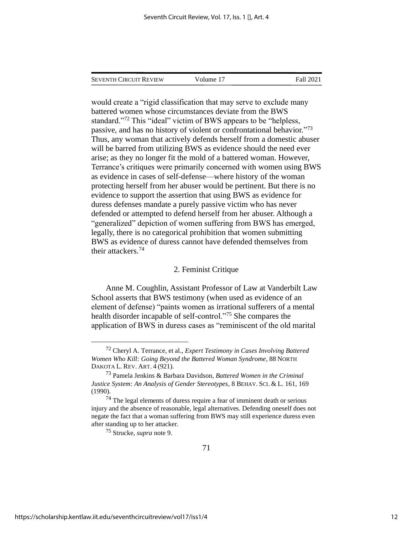SEVENTH CIRCUIT REVIEW Volume 17 Fall 2021

would create a "rigid classification that may serve to exclude many battered women whose circumstances deviate from the BWS standard."<sup>72</sup> This "ideal" victim of BWS appears to be "helpless, passive, and has no history of violent or confrontational behavior."73 Thus, any woman that actively defends herself from a domestic abuser will be barred from utilizing BWS as evidence should the need ever arise; as they no longer fit the mold of a battered woman. However, Terrance's critiques were primarily concerned with women using BWS as evidence in cases of self-defense—where history of the woman protecting herself from her abuser would be pertinent. But there is no evidence to support the assertion that using BWS as evidence for duress defenses mandate a purely passive victim who has never defended or attempted to defend herself from her abuser. Although a "generalized" depiction of women suffering from BWS has emerged, legally, there is no categorical prohibition that women submitting BWS as evidence of duress cannot have defended themselves from their attackers.<sup>74</sup>

#### 2. Feminist Critique

Anne M. Coughlin, Assistant Professor of Law at Vanderbilt Law School asserts that BWS testimony (when used as evidence of an element of defense) "paints women as irrational sufferers of a mental health disorder incapable of self-control."<sup>75</sup> She compares the application of BWS in duress cases as "reminiscent of the old marital

<sup>72</sup> Cheryl A. Terrance, et al., *Expert Testimony in Cases Involving Battered Women Who Kill: Going Beyond the Battered Woman Syndrome*, 88 NORTH DAKOTA L. REV. ART. 4 (921).

<sup>73</sup> Pamela Jenkins & Barbara Davidson*, Battered Women in the Criminal Justice System: An Analysis of Gender Stereotypes*, 8 BEHAV.SCI. & L. 161, 169 (1990).

 $74$  The legal elements of duress require a fear of imminent death or serious injury and the absence of reasonable, legal alternatives. Defending oneself does not negate the fact that a woman suffering from BWS may still experience duress even after standing up to her attacker.

<sup>75</sup> Strucke, *supra* note 9.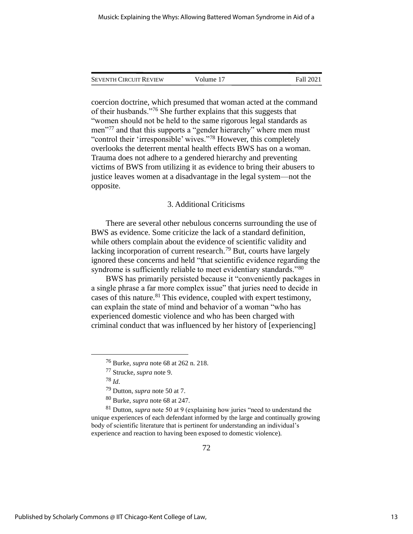| <b>SEVENTH CIRCUIT REVIEW</b> | Volume 17 | Fall 2021 |
|-------------------------------|-----------|-----------|
|                               |           |           |

coercion doctrine, which presumed that woman acted at the command of their husbands."<sup>76</sup> She further explains that this suggests that "women should not be held to the same rigorous legal standards as men<sup>"77</sup> and that this supports a "gender hierarchy" where men must "control their 'irresponsible' wives."<sup>78</sup> However, this completely overlooks the deterrent mental health effects BWS has on a woman. Trauma does not adhere to a gendered hierarchy and preventing victims of BWS from utilizing it as evidence to bring their abusers to justice leaves women at a disadvantage in the legal system—not the opposite.

#### 3. Additional Criticisms

There are several other nebulous concerns surrounding the use of BWS as evidence. Some criticize the lack of a standard definition, while others complain about the evidence of scientific validity and lacking incorporation of current research.<sup>79</sup> But, courts have largely ignored these concerns and held "that scientific evidence regarding the syndrome is sufficiently reliable to meet evidentiary standards."<sup>80</sup>

BWS has primarily persisted because it "conveniently packages in a single phrase a far more complex issue" that juries need to decide in cases of this nature.<sup>81</sup> This evidence, coupled with expert testimony, can explain the state of mind and behavior of a woman "who has experienced domestic violence and who has been charged with criminal conduct that was influenced by her history of [experiencing]

<sup>81</sup> Dutton, *supra* note 50 at 9 (explaining how juries "need to understand the unique experiences of each defendant informed by the large and continually growing body of scientific literature that is pertinent for understanding an individual's experience and reaction to having been exposed to domestic violence).

<sup>76</sup> Burke, *supra* note 68 at 262 n. 218.

<sup>77</sup> Strucke, *supra* note 9.

<sup>78</sup> *Id*.

<sup>79</sup> Dutton, *supra* note 50 at 7.

<sup>80</sup> Burke, *supra* note 68 at 247.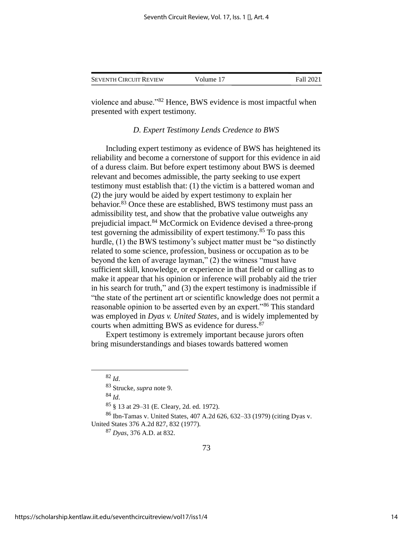| <b>SEVENTH CIRCUIT REVIEW</b> | Volume 17 | Fall 2021 |
|-------------------------------|-----------|-----------|
|                               |           |           |

violence and abuse."<sup>82</sup> Hence, BWS evidence is most impactful when presented with expert testimony.

#### *D. Expert Testimony Lends Credence to BWS*

Including expert testimony as evidence of BWS has heightened its reliability and become a cornerstone of support for this evidence in aid of a duress claim. But before expert testimony about BWS is deemed relevant and becomes admissible, the party seeking to use expert testimony must establish that: (1) the victim is a battered woman and (2) the jury would be aided by expert testimony to explain her behavior.<sup>83</sup> Once these are established, BWS testimony must pass an admissibility test, and show that the probative value outweighs any prejudicial impact.<sup>84</sup> McCormick on Evidence devised a three-prong test governing the admissibility of expert testimony.<sup>85</sup> To pass this hurdle, (1) the BWS testimony's subject matter must be "so distinctly related to some science, profession, business or occupation as to be beyond the ken of average layman," (2) the witness "must have sufficient skill, knowledge, or experience in that field or calling as to make it appear that his opinion or inference will probably aid the trier in his search for truth," and (3) the expert testimony is inadmissible if "the state of the pertinent art or scientific knowledge does not permit a reasonable opinion to be asserted even by an expert."<sup>86</sup> This standard was employed in *Dyas v. United States*, and is widely implemented by courts when admitting BWS as evidence for duress.<sup>87</sup>

Expert testimony is extremely important because jurors often bring misunderstandings and biases towards battered women

<sup>84</sup> *Id*.

<sup>85</sup> § 13 at 29–31 (E. Cleary, 2d. ed. 1972).

 $82$  *Id.* 

<sup>83</sup> Strucke, *supra* note 9.

<sup>86</sup> Ibn-Tamas v. United States, 407 A.2d 626, 632–33 (1979) (citing Dyas v. United States 376 A.2d 827, 832 (1977).

<sup>87</sup> *Dyas*, 376 A.D. at 832.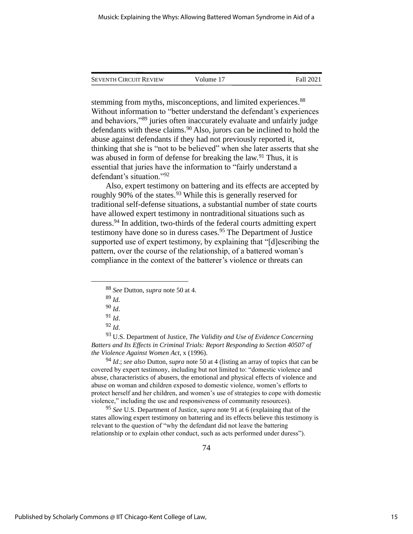| <b>SEVENTH CIRCUIT REVIEW</b> | Volume 17 | Fall 2021 |
|-------------------------------|-----------|-----------|
|                               |           |           |

stemming from myths, misconceptions, and limited experiences.<sup>88</sup> Without information to "better understand the defendant's experiences and behaviors,"<sup>89</sup> juries often inaccurately evaluate and unfairly judge defendants with these claims.<sup>90</sup> Also, jurors can be inclined to hold the abuse against defendants if they had not previously reported it, thinking that she is "not to be believed" when she later asserts that she was abused in form of defense for breaking the law.<sup>91</sup> Thus, it is essential that juries have the information to "fairly understand a defendant's situation."<sup>92</sup>

Also, expert testimony on battering and its effects are accepted by roughly 90% of the states.<sup>93</sup> While this is generally reserved for traditional self-defense situations, a substantial number of state courts have allowed expert testimony in nontraditional situations such as duress.<sup>94</sup> In addition, two-thirds of the federal courts admitting expert testimony have done so in duress cases.<sup>95</sup> The Department of Justice supported use of expert testimony, by explaining that "[d]escribing the pattern, over the course of the relationship, of a battered woman's compliance in the context of the batterer's violence or threats can

<sup>94</sup> *Id*.; *see also* Dutton, *supra* note 50 at 4 (listing an array of topics that can be covered by expert testimony, including but not limited to: "domestic violence and abuse, characteristics of abusers, the emotional and physical effects of violence and abuse on woman and children exposed to domestic violence, women's efforts to protect herself and her children, and women's use of strategies to cope with domestic violence," including the use and responsiveness of community resources).

<sup>95</sup> *See* U.S. Department of Justice, *supra* note 91 at 6 (explaining that of the states allowing expert testimony on battering and its effects believe this testimony is relevant to the question of "why the defendant did not leave the battering relationship or to explain other conduct, such as acts performed under duress").

<sup>88</sup> *See* Dutton, *supra* note 50 at 4.

<sup>89</sup> *Id*.

<sup>90</sup> *Id*.

 $91$  *Id.* 

<sup>92</sup> *Id*.

<sup>93</sup> U.S. Department of Justice, *The Validity and Use of Evidence Concerning Batters and Its Effects in Criminal Trials: Report Responding to Section 40507 of the Violence Against Women Act*, x (1996).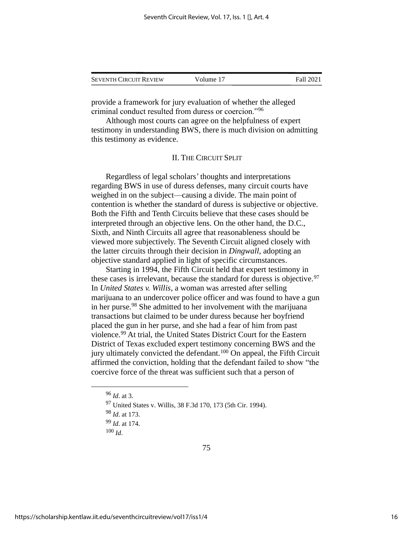| <b>SEVENTH CIRCUIT REVIEW</b> | Volume 17 | Fall 2021 |
|-------------------------------|-----------|-----------|
|                               |           |           |

provide a framework for jury evaluation of whether the alleged criminal conduct resulted from duress or coercion."<sup>96</sup>

Although most courts can agree on the helpfulness of expert testimony in understanding BWS, there is much division on admitting this testimony as evidence.

#### II. THE CIRCUIT SPLIT

Regardless of legal scholars' thoughts and interpretations regarding BWS in use of duress defenses, many circuit courts have weighed in on the subject—causing a divide. The main point of contention is whether the standard of duress is subjective or objective. Both the Fifth and Tenth Circuits believe that these cases should be interpreted through an objective lens. On the other hand, the D.C., Sixth, and Ninth Circuits all agree that reasonableness should be viewed more subjectively. The Seventh Circuit aligned closely with the latter circuits through their decision in *Dingwall*, adopting an objective standard applied in light of specific circumstances.

Starting in 1994, the Fifth Circuit held that expert testimony in these cases is irrelevant, because the standard for duress is objective.  $97$ In *United States v. Willis*, a woman was arrested after selling marijuana to an undercover police officer and was found to have a gun in her purse.<sup>98</sup> She admitted to her involvement with the marijuana transactions but claimed to be under duress because her boyfriend placed the gun in her purse, and she had a fear of him from past violence.<sup>99</sup> At trial, the United States District Court for the Eastern District of Texas excluded expert testimony concerning BWS and the jury ultimately convicted the defendant.<sup>100</sup> On appeal, the Fifth Circuit affirmed the conviction, holding that the defendant failed to show "the coercive force of the threat was sufficient such that a person of

75

<sup>96</sup> *Id*. at 3.

<sup>97</sup> United States v. Willis, 38 F.3d 170, 173 (5th Cir. 1994).

<sup>98</sup> *Id*. at 173.

<sup>99</sup> *Id*. at 174.

<sup>100</sup> *Id*.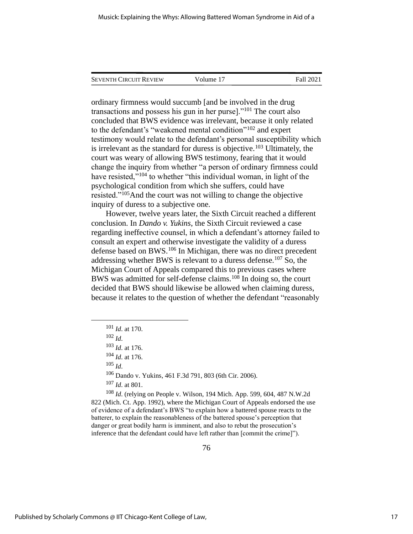| <b>SEVENTH CIRCUIT REVIEW</b> | Volume 17 | Fall 2021 |
|-------------------------------|-----------|-----------|
|                               |           |           |

ordinary firmness would succumb [and be involved in the drug transactions and possess his gun in her purse]."<sup>101</sup> The court also concluded that BWS evidence was irrelevant, because it only related to the defendant's "weakened mental condition"<sup>102</sup> and expert testimony would relate to the defendant's personal susceptibility which is irrelevant as the standard for duress is objective.<sup>103</sup> Ultimately, the court was weary of allowing BWS testimony, fearing that it would change the inquiry from whether "a person of ordinary firmness could have resisted,"<sup>104</sup> to whether "this individual woman, in light of the psychological condition from which she suffers, could have resisted."<sup>105</sup>And the court was not willing to change the objective inquiry of duress to a subjective one.

However, twelve years later, the Sixth Circuit reached a different conclusion. In *Dando v. Yukins*, the Sixth Circuit reviewed a case regarding ineffective counsel, in which a defendant's attorney failed to consult an expert and otherwise investigate the validity of a duress defense based on BWS.<sup>106</sup> In Michigan, there was no direct precedent addressing whether BWS is relevant to a duress defense.<sup>107</sup> So, the Michigan Court of Appeals compared this to previous cases where BWS was admitted for self-defense claims.<sup>108</sup> In doing so, the court decided that BWS should likewise be allowed when claiming duress, because it relates to the question of whether the defendant "reasonably

 $105$  *Id.* 

<sup>106</sup> Dando v. Yukins, 461 F.3d 791, 803 (6th Cir. 2006).

<sup>107</sup> *Id*. at 801.

<sup>108</sup> *Id*. (relying on People v. Wilson, 194 Mich. App. 599, 604, 487 N.W.2d 822 (Mich. Ct. App. 1992), where the Michigan Court of Appeals endorsed the use of evidence of a defendant's BWS "to explain how a battered spouse reacts to the batterer, to explain the reasonableness of the battered spouse's perception that danger or great bodily harm is imminent, and also to rebut the prosecution's inference that the defendant could have left rather than [commit the crime]").

<sup>101</sup> *Id*. at 170.

 $102$  *Id.* 

<sup>103</sup> *Id*. at 176.

<sup>104</sup> *Id*. at 176.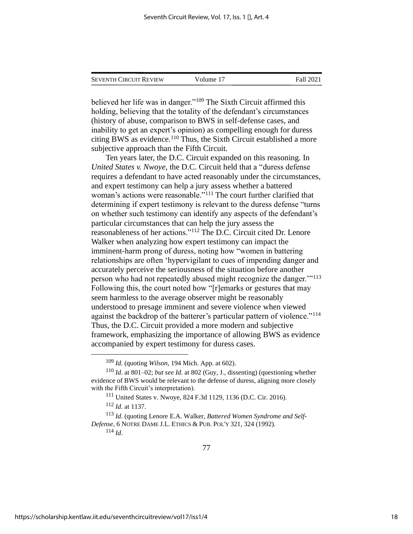| <b>SEVENTH CIRCUIT REVIEW</b> | Volume 17 | Fall 2021 |
|-------------------------------|-----------|-----------|
|                               |           |           |

believed her life was in danger."<sup>109</sup> The Sixth Circuit affirmed this holding, believing that the totality of the defendant's circumstances (history of abuse, comparison to BWS in self-defense cases, and inability to get an expert's opinion) as compelling enough for duress citing BWS as evidence.<sup>110</sup> Thus, the Sixth Circuit established a more subjective approach than the Fifth Circuit.

Ten years later, the D.C. Circuit expanded on this reasoning. In *United States v. Nwoye*, the D.C. Circuit held that a "duress defense requires a defendant to have acted reasonably under the circumstances, and expert testimony can help a jury assess whether a battered woman's actions were reasonable."<sup>111</sup> The court further clarified that determining if expert testimony is relevant to the duress defense "turns on whether such testimony can identify any aspects of the defendant's particular circumstances that can help the jury assess the reasonableness of her actions."<sup>112</sup> The D.C. Circuit cited Dr. Lenore Walker when analyzing how expert testimony can impact the imminent-harm prong of duress, noting how "women in battering relationships are often 'hypervigilant to cues of impending danger and accurately perceive the seriousness of the situation before another person who had not repeatedly abused might recognize the danger.'"<sup>113</sup> Following this, the court noted how "[r]emarks or gestures that may seem harmless to the average observer might be reasonably understood to presage imminent and severe violence when viewed against the backdrop of the batterer's particular pattern of violence."<sup>114</sup> Thus, the D.C. Circuit provided a more modern and subjective framework, emphasizing the importance of allowing BWS as evidence accompanied by expert testimony for duress cases.

<sup>114</sup> *Id*.

<sup>109</sup> *Id*. (quoting *Wilson*, 194 Mich. App. at 602).

<sup>110</sup> *Id*. at 801–02; *but see Id*. at 802 (Guy, J., dissenting) (questioning whether evidence of BWS would be relevant to the defense of duress, aligning more closely with the Fifth Circuit's interpretation).

<sup>111</sup> United States v. Nwoye, 824 F.3d 1129, 1136 (D.C. Cir. 2016).

<sup>112</sup> *Id*. at 1137.

<sup>113</sup> *Id*. (quoting Lenore E.A. Walker, *Battered Women Syndrome and Self-Defense*, 6 NOTRE DAME J.L. ETHICS & PUB.POL'Y 321, 324 (1992).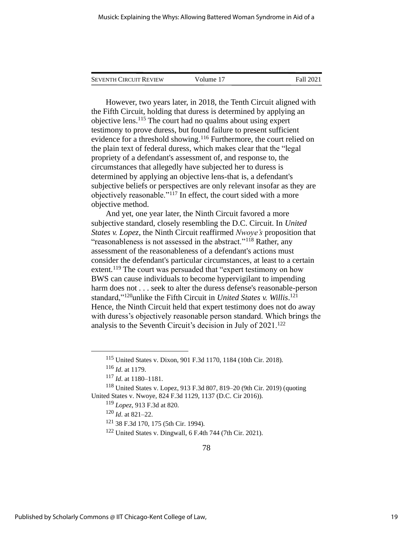| <b>SEVENTH CIRCUIT REVIEW</b> | Volume 17 | Fall 2021 |
|-------------------------------|-----------|-----------|
|                               |           |           |

However, two years later, in 2018, the Tenth Circuit aligned with the Fifth Circuit, holding that duress is determined by applying an objective lens.<sup>115</sup> The court had no qualms about using expert testimony to prove duress, but found failure to present sufficient evidence for a threshold showing.<sup>116</sup> Furthermore, the court relied on the plain text of federal duress, which makes clear that the "legal propriety of a defendant's assessment of, and response to, the circumstances that allegedly have subjected her to duress is determined by applying an objective lens-that is, a defendant's subjective beliefs or perspectives are only relevant insofar as they are objectively reasonable."<sup>117</sup> In effect, the court sided with a more objective method.

And yet, one year later, the Ninth Circuit favored a more subjective standard, closely resembling the D.C. Circuit. In *United States v. Lopez*, the Ninth Circuit reaffirmed *Nwoye's* proposition that "reasonableness is not assessed in the abstract."<sup>118</sup> Rather, any assessment of the reasonableness of a defendant's actions must consider the defendant's particular circumstances, at least to a certain extent.<sup>119</sup> The court was persuaded that "expert testimony on how BWS can cause individuals to become hypervigilant to impending harm does not . . . seek to alter the duress defense's reasonable-person standard,"<sup>120</sup>unlike the Fifth Circuit in *United States v. Willis*.<sup>121</sup> Hence, the Ninth Circuit held that expert testimony does not do away with duress's objectively reasonable person standard. Which brings the analysis to the Seventh Circuit's decision in July of 2021.<sup>122</sup>

<sup>115</sup> United States v. Dixon, 901 F.3d 1170, 1184 (10th Cir. 2018).

<sup>116</sup> *Id*. at 1179.

<sup>117</sup> *Id*. at 1180–1181.

<sup>118</sup> United States v. Lopez, 913 F.3d 807, 819–20 (9th Cir. 2019) (quoting United States v. Nwoye, 824 F.3d 1129, 1137 (D.C. Cir 2016)).

<sup>119</sup> *Lopez*, 913 F.3d at 820.

<sup>120</sup> *Id*. at 821–22.

<sup>121</sup> 38 F.3d 170, 175 (5th Cir. 1994).

<sup>122</sup> United States v. Dingwall, 6 F.4th 744 (7th Cir. 2021).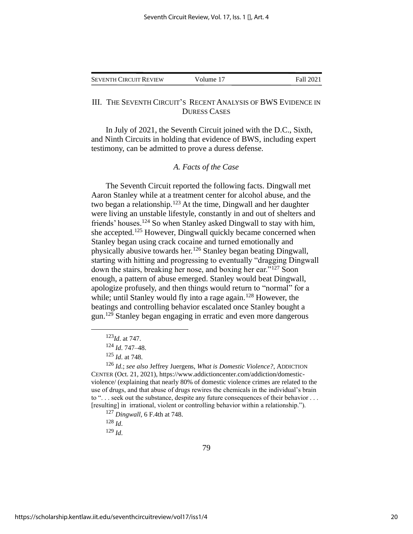| <b>SEVENTH CIRCUIT REVIEW</b> | Volume 17 | Fall 2021 |
|-------------------------------|-----------|-----------|
|                               |           |           |

#### III. THE SEVENTH CIRCUIT'S RECENT ANALYSIS OF BWS EVIDENCE IN DURESS CASES

In July of 2021, the Seventh Circuit joined with the D.C., Sixth, and Ninth Circuits in holding that evidence of BWS, including expert testimony, can be admitted to prove a duress defense.

#### *A. Facts of the Case*

The Seventh Circuit reported the following facts. Dingwall met Aaron Stanley while at a treatment center for alcohol abuse, and the two began a relationship.<sup>123</sup> At the time, Dingwall and her daughter were living an unstable lifestyle, constantly in and out of shelters and friends' houses.<sup>124</sup> So when Stanley asked Dingwall to stay with him, she accepted.<sup>125</sup> However, Dingwall quickly became concerned when Stanley began using crack cocaine and turned emotionally and physically abusive towards her.<sup>126</sup> Stanley began beating Dingwall, starting with hitting and progressing to eventually "dragging Dingwall down the stairs, breaking her nose, and boxing her ear."<sup>127</sup> Soon enough, a pattern of abuse emerged. Stanley would beat Dingwall, apologize profusely, and then things would return to "normal" for a while; until Stanley would fly into a rage again.<sup>128</sup> However, the beatings and controlling behavior escalated once Stanley bought a gun.<sup>129</sup> Stanley began engaging in erratic and even more dangerous

<sup>129</sup> *Id*.

<sup>123</sup>*Id*. at 747.

<sup>124</sup> *Id*. 747–48.

<sup>125</sup> *Id*. at 748.

<sup>126</sup> *Id*.; *see also* Jeffrey Juergens, *What is Domestic Violence?*, ADDICTION CENTER (Oct. 21, 2021), https://www.addictioncenter.com/addiction/domesticviolence/ (explaining that nearly 80% of domestic violence crimes are related to the use of drugs, and that abuse of drugs rewires the chemicals in the individual's brain to ". . . seek out the substance, despite any future consequences of their behavior . . . [resulting] in irrational, violent or controlling behavior within a relationship.").

<sup>127</sup> *Dingwall*, 6 F.4th at 748.

<sup>128</sup> *Id*.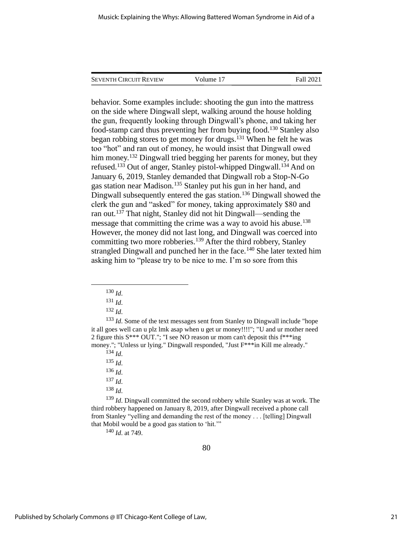SEVENTH CIRCUIT REVIEW Volume 17 Fall 2021

behavior. Some examples include: shooting the gun into the mattress on the side where Dingwall slept, walking around the house holding the gun, frequently looking through Dingwall's phone, and taking her food-stamp card thus preventing her from buying food.<sup>130</sup> Stanley also began robbing stores to get money for drugs.<sup>131</sup> When he felt he was too "hot" and ran out of money, he would insist that Dingwall owed him money.<sup>132</sup> Dingwall tried begging her parents for money, but they refused.<sup>133</sup> Out of anger, Stanley pistol-whipped Dingwall.<sup>134</sup> And on January 6, 2019, Stanley demanded that Dingwall rob a Stop-N-Go gas station near Madison.<sup>135</sup> Stanley put his gun in her hand, and Dingwall subsequently entered the gas station.<sup>136</sup> Dingwall showed the clerk the gun and "asked" for money, taking approximately \$80 and ran out.<sup>137</sup> That night, Stanley did not hit Dingwall—sending the message that committing the crime was a way to avoid his abuse.<sup>138</sup> However, the money did not last long, and Dingwall was coerced into committing two more robberies.<sup>139</sup> After the third robbery, Stanley strangled Dingwall and punched her in the face.<sup>140</sup> She later texted him asking him to "please try to be nice to me. I'm so sore from this

<sup>133</sup> *Id*. Some of the text messages sent from Stanley to Dingwall include "hope it all goes well can u plz lmk asap when u get ur money!!!!"; "U and ur mother need 2 figure this S\*\*\* OUT."; "I see NO reason ur mom can't deposit this f\*\*\*ing money."; "Unless ur lying." Dingwall responded, "Just F\*\*\*in Kill me already."

<sup>137</sup> *Id*.

<sup>139</sup> *Id*. Dingwall committed the second robbery while Stanley was at work. The third robbery happened on January 8, 2019, after Dingwall received a phone call from Stanley "yelling and demanding the rest of the money . . . [telling] Dingwall that Mobil would be a good gas station to 'hit.'"

<sup>140</sup> *Id*. at 749.

 $^{130}$  *Id.* 

<sup>131</sup> *Id*.

<sup>132</sup> *Id*.

<sup>134</sup> *Id*.

<sup>135</sup> *Id*.

<sup>136</sup> *Id*.

<sup>138</sup> *Id*.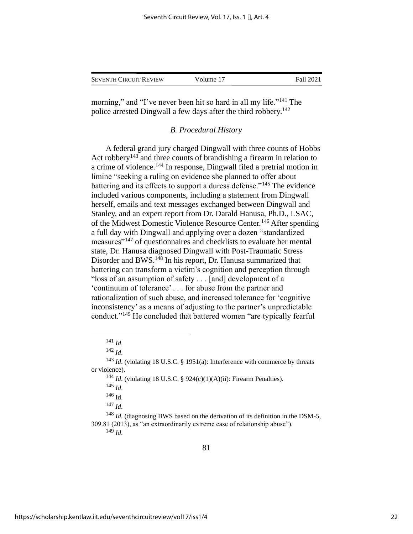| <b>SEVENTH CIRCUIT REVIEW</b> | Volume 17 | Fall 2021 |
|-------------------------------|-----------|-----------|
|                               |           |           |

morning," and "I've never been hit so hard in all my life."<sup>141</sup> The police arrested Dingwall a few days after the third robbery.<sup>142</sup>

#### *B. Procedural History*

A federal grand jury charged Dingwall with three counts of Hobbs Act robbery<sup>143</sup> and three counts of brandishing a firearm in relation to a crime of violence.<sup>144</sup> In response, Dingwall filed a pretrial motion in limine "seeking a ruling on evidence she planned to offer about battering and its effects to support a duress defense."<sup>145</sup> The evidence included various components, including a statement from Dingwall herself, emails and text messages exchanged between Dingwall and Stanley, and an expert report from Dr. Darald Hanusa, Ph.D., LSAC, of the Midwest Domestic Violence Resource Center.<sup>146</sup> After spending a full day with Dingwall and applying over a dozen "standardized measures"<sup>147</sup> of questionnaires and checklists to evaluate her mental state, Dr. Hanusa diagnosed Dingwall with Post-Traumatic Stress Disorder and BWS.<sup>148</sup> In his report, Dr. Hanusa summarized that battering can transform a victim's cognition and perception through "loss of an assumption of safety . . . [and] development of a 'continuum of tolerance' . . . for abuse from the partner and rationalization of such abuse, and increased tolerance for 'cognitive inconsistency' as a means of adjusting to the partner's unpredictable conduct."<sup>149</sup> He concluded that battered women "are typically fearful

<sup>144</sup> *Id*. (violating 18 U.S.C. § 924(c)(1)(A)(ii): Firearm Penalties).

<sup>147</sup> *Id*.

<sup>148</sup> *Id.* (diagnosing BWS based on the derivation of its definition in the DSM-5, 309.81 (2013), as "an extraordinarily extreme case of relationship abuse").

<sup>149</sup> *Id*.

<sup>141</sup> *Id*.

<sup>142</sup> *Id*.

<sup>143</sup> *Id*. (violating 18 U.S.C. § 1951(a): Interference with commerce by threats or violence).

<sup>145</sup> *Id*.

<sup>146</sup> Id.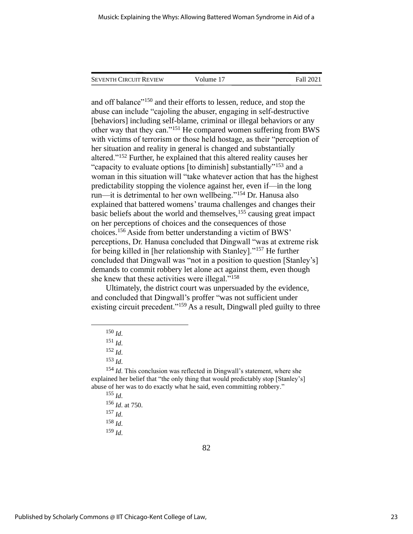| <b>SEVENTH CIRCUIT REVIEW</b> | Volume 17 | Fall 2021 |
|-------------------------------|-----------|-----------|
|                               |           |           |

and off balance"<sup>150</sup> and their efforts to lessen, reduce, and stop the abuse can include "cajoling the abuser, engaging in self-destructive [behaviors] including self-blame, criminal or illegal behaviors or any other way that they can."<sup>151</sup> He compared women suffering from BWS with victims of terrorism or those held hostage, as their "perception of her situation and reality in general is changed and substantially altered."<sup>152</sup> Further, he explained that this altered reality causes her "capacity to evaluate options [to diminish] substantially"<sup>153</sup> and a woman in this situation will "take whatever action that has the highest predictability stopping the violence against her, even if—in the long run—it is detrimental to her own wellbeing."<sup>154</sup> Dr. Hanusa also explained that battered womens' trauma challenges and changes their basic beliefs about the world and themselves,<sup>155</sup> causing great impact on her perceptions of choices and the consequences of those choices.<sup>156</sup> Aside from better understanding a victim of BWS' perceptions, Dr. Hanusa concluded that Dingwall "was at extreme risk for being killed in [her relationship with Stanley]."<sup>157</sup> He further concluded that Dingwall was "not in a position to question [Stanley's] demands to commit robbery let alone act against them, even though she knew that these activities were illegal."<sup>158</sup>

Ultimately, the district court was unpersuaded by the evidence, and concluded that Dingwall's proffer "was not sufficient under existing circuit precedent."<sup>159</sup> As a result, Dingwall pled guilty to three

<sup>154</sup> *Id*. This conclusion was reflected in Dingwall's statement, where she explained her belief that "the only thing that would predictably stop [Stanley's] abuse of her was to do exactly what he said, even committing robbery."

<sup>150</sup> *Id*.

<sup>151</sup> *Id*.

<sup>152</sup> *Id*.

<sup>153</sup> *Id*.

<sup>155</sup> *Id*.

<sup>156</sup> *Id*. at 750.

<sup>157</sup> *Id*.

<sup>158</sup> *Id*.

<sup>159</sup> *Id*.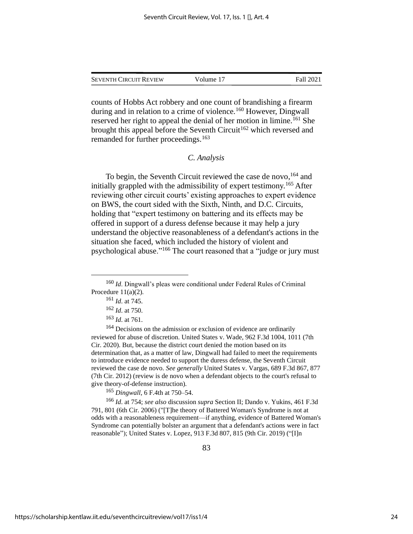SEVENTH CIRCUIT REVIEW Volume 17 Fall 2021

counts of Hobbs Act robbery and one count of brandishing a firearm during and in relation to a crime of violence.<sup>160</sup> However, Dingwall reserved her right to appeal the denial of her motion in limine.<sup>161</sup> She brought this appeal before the Seventh Circuit<sup>162</sup> which reversed and remanded for further proceedings.<sup>163</sup>

#### *C. Analysis*

To begin, the Seventh Circuit reviewed the case de novo, <sup>164</sup> and initially grappled with the admissibility of expert testimony.<sup>165</sup> After reviewing other circuit courts' existing approaches to expert evidence on BWS, the court sided with the Sixth, Ninth, and D.C. Circuits, holding that "expert testimony on battering and its effects may be offered in support of a duress defense because it may help a jury understand the objective reasonableness of a defendant's actions in the situation she faced, which included the history of violent and psychological abuse."<sup>166</sup> The court reasoned that a "judge or jury must

<sup>165</sup> *Dingwall*, 6 F.4th at 750–54.

<sup>166</sup> *Id*. at 754; *see also* discussion *supra* Section II; Dando v. Yukins, 461 F.3d 791, 801 (6th Cir. 2006) ("[T]he theory of Battered Woman's Syndrome is not at odds with a reasonableness requirement—if anything, evidence of Battered Woman's Syndrome can potentially bolster an argument that a defendant's actions were in fact reasonable"); United States v. Lopez, 913 F.3d 807, 815 (9th Cir. 2019) ("[I]n

<sup>160</sup> *Id*. Dingwall's pleas were conditional under Federal Rules of Criminal Procedure 11(a)(2).

<sup>161</sup> *Id*. at 745.

<sup>162</sup> *Id*. at 750.

<sup>163</sup> *Id*. at 761.

<sup>&</sup>lt;sup>164</sup> Decisions on the admission or exclusion of evidence are ordinarily reviewed for abuse of discretion. United States v. Wade, 962 F.3d 1004, 1011 (7th Cir. 2020). But, because the district court denied the motion based on its determination that, as a matter of law, Dingwall had failed to meet the requirements to introduce evidence needed to support the duress defense, the Seventh Circuit reviewed the case de novo. *See generally* United States v. Vargas, 689 F.3d 867, 877 (7th Cir. 2012) (review is de novo when a defendant objects to the court's refusal to give theory-of-defense instruction).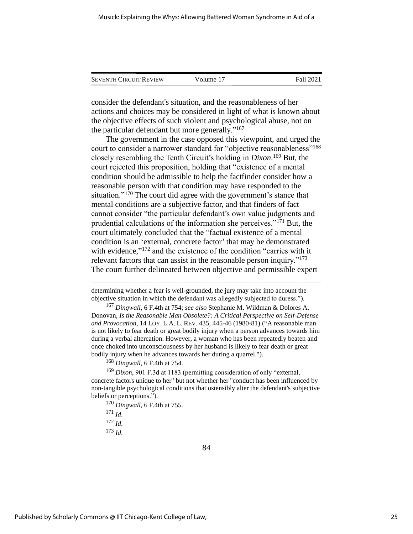| <b>SEVENTH CIRCUIT REVIEW</b> | Volume 17 | Fall 2021 |
|-------------------------------|-----------|-----------|
|                               |           |           |

consider the defendant's situation, and the reasonableness of her actions and choices may be considered in light of what is known about the objective effects of such violent and psychological abuse, not on the particular defendant but more generally."<sup>167</sup>

The government in the case opposed this viewpoint, and urged the court to consider a narrower standard for "objective reasonableness"<sup>168</sup> closely resembling the Tenth Circuit's holding in *Dixon*. <sup>169</sup> But, the court rejected this proposition, holding that "existence of a mental condition should be admissible to help the factfinder consider how a reasonable person with that condition may have responded to the situation."<sup>170</sup> The court did agree with the government's stance that mental conditions are a subjective factor, and that finders of fact cannot consider "the particular defendant's own value judgments and prudential calculations of the information she perceives."<sup>171</sup> But, the court ultimately concluded that the "factual existence of a mental condition is an 'external, concrete factor' that may be demonstrated with evidence,"<sup>172</sup> and the existence of the condition "carries with it relevant factors that can assist in the reasonable person inquiry."<sup>173</sup> The court further delineated between objective and permissible expert

determining whether a fear is well-grounded, the jury may take into account the objective situation in which the defendant was allegedly subjected to duress.").

<sup>168</sup> *Dingwall*, 6 F.4th at 754.

<sup>173</sup> *Id*.

<sup>167</sup> *Dingwall*, 6 F.4th at 754; *see also* Stephanie M. Wildman & Dolores A. Donovan, *Is the Reasonable Man Obsolete?: A Critical Perspective on Self-Defense and Provocation*, 14 LOY. L.A. L. REV. 435, 445-46 (1980-81) ("A reasonable man is not likely to fear death or great bodily injury when a person advances towards him during a verbal altercation. However, a woman who has been repeatedly beaten and once choked into unconsciousness by her husband is likely to fear death or great bodily injury when he advances towards her during a quarrel.").

<sup>169</sup> *Dixon*, 901 F.3d at 1183 (permitting consideration of only "external, concrete factors unique to her" but not whether her "conduct has been influenced by non-tangible psychological conditions that ostensibly alter the defendant's subjective beliefs or perceptions.").

<sup>170</sup> *Dingwall*, 6 F.4th at 755.

<sup>171</sup> *Id*.

<sup>172</sup> *Id*.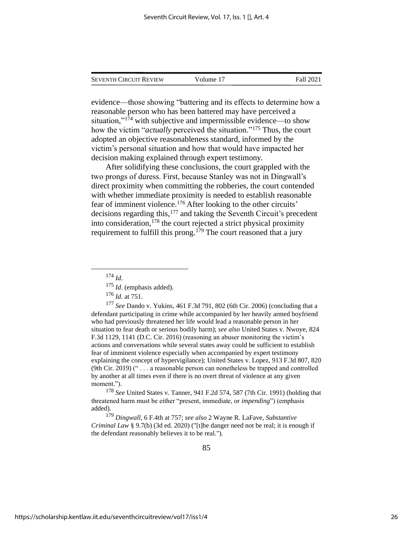| <b>SEVENTH CIRCUIT REVIEW</b> | Volume 17 | Fall 2021 |
|-------------------------------|-----------|-----------|
|                               |           |           |

evidence—those showing "battering and its effects to determine how a reasonable person who has been battered may have perceived a situation,"<sup>174</sup> with subjective and impermissible evidence—to show how the victim "*actually* perceived the situation."<sup>175</sup> Thus, the court adopted an objective reasonableness standard, informed by the victim's personal situation and how that would have impacted her decision making explained through expert testimony.

After solidifying these conclusions, the court grappled with the two prongs of duress. First, because Stanley was not in Dingwall's direct proximity when committing the robberies, the court contended with whether immediate proximity is needed to establish reasonable fear of imminent violence. <sup>176</sup> After looking to the other circuits' decisions regarding this,<sup>177</sup> and taking the Seventh Circuit's precedent into consideration,  $^{178}$  the court rejected a strict physical proximity requirement to fulfill this prong.<sup>179</sup> The court reasoned that a jury

<sup>177</sup> *See* Dando v. Yukins, 461 F.3d 791, 802 (6th Cir. 2006) (concluding that a defendant participating in crime while accompanied by her heavily armed boyfriend who had previously threatened her life would lead a reasonable person in her situation to fear death or serious bodily harm); *see also* United States v. Nwoye, 824 F.3d 1129, 1141 (D.C. Cir. 2016) (reasoning an abuser monitoring the victim's actions and conversations while several states away could be sufficient to establish fear of imminent violence especially when accompanied by expert testimony explaining the concept of hypervigilance); United States v. Lopez, 913 F.3d 807, 820 (9th Cir. 2019) (" . . . a reasonable person can nonetheless be trapped and controlled by another at all times even if there is no overt threat of violence at any given moment.").

<sup>178</sup> *See* United States v. Tanner, 941 F.2d 574, 587 (7th Cir. 1991) (holding that threatened harm must be either "present, immediate, or *impending*") (emphasis added).

<sup>179</sup> *Dingwall*, 6 F.4th at 757; *see also* 2 Wayne R. LaFave, *Substantive Criminal Law* § 9.7(b) (3d ed. 2020) ("[t]he danger need not be real; it is enough if the defendant reasonably believes it to be real.").

<sup>174</sup> *Id*.

<sup>175</sup> *Id*. (emphasis added).

<sup>176</sup> *Id*. at 751.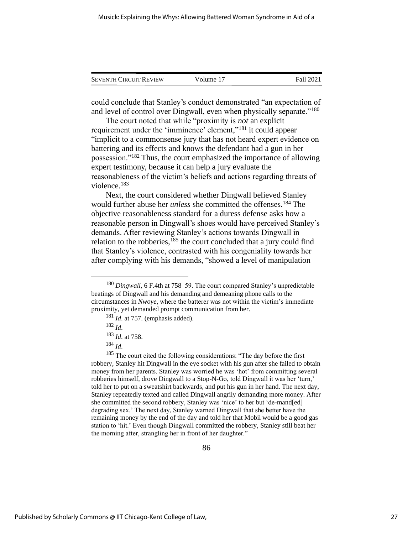| <b>SEVENTH CIRCUIT REVIEW</b> | Volume 17 | Fall 2021 |
|-------------------------------|-----------|-----------|
|                               |           |           |

could conclude that Stanley's conduct demonstrated "an expectation of and level of control over Dingwall, even when physically separate."<sup>180</sup>

The court noted that while "proximity is *not* an explicit requirement under the 'imminence' element,"<sup>181</sup> it could appear "implicit to a commonsense jury that has not heard expert evidence on battering and its effects and knows the defendant had a gun in her possession."<sup>182</sup> Thus, the court emphasized the importance of allowing expert testimony, because it can help a jury evaluate the reasonableness of the victim's beliefs and actions regarding threats of violence.<sup>183</sup>

Next, the court considered whether Dingwall believed Stanley would further abuse her *unless* she committed the offenses.<sup>184</sup> The objective reasonableness standard for a duress defense asks how a reasonable person in Dingwall's shoes would have perceived Stanley's demands. After reviewing Stanley's actions towards Dingwall in relation to the robberies, $185$  the court concluded that a jury could find that Stanley's violence, contrasted with his congeniality towards her after complying with his demands, "showed a level of manipulation

 $185$  The court cited the following considerations: "The day before the first robbery, Stanley hit Dingwall in the eye socket with his gun after she failed to obtain money from her parents. Stanley was worried he was 'hot' from committing several robberies himself, drove Dingwall to a Stop-N-Go, told Dingwall it was her 'turn,' told her to put on a sweatshirt backwards, and put his gun in her hand. The next day, Stanley repeatedly texted and called Dingwall angrily demanding more money. After she committed the second robbery, Stanley was 'nice' to her but 'de-mand[ed] degrading sex.' The next day, Stanley warned Dingwall that she better have the remaining money by the end of the day and told her that Mobil would be a good gas station to 'hit.' Even though Dingwall committed the robbery, Stanley still beat her the morning after, strangling her in front of her daughter."

<sup>180</sup> *Dingwall*, 6 F.4th at 758–59. The court compared Stanley's unpredictable beatings of Dingwall and his demanding and demeaning phone calls to the circumstances in *Nwoye*, where the batterer was not within the victim's immediate proximity, yet demanded prompt communication from her.

<sup>181</sup> *Id*. at 757. (emphasis added).

<sup>182</sup> *Id*.

<sup>183</sup> *Id*. at 758.

<sup>184</sup> *Id*.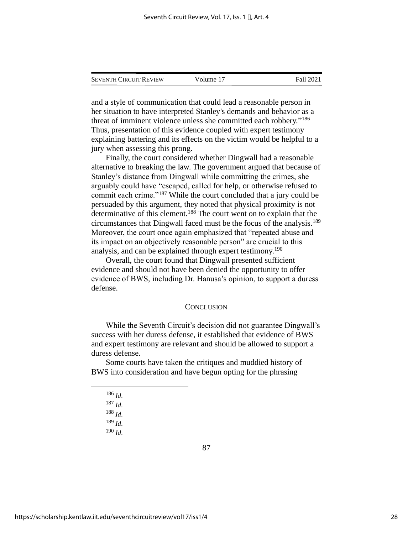| <b>SEVENTH CIRCUIT REVIEW</b> | Volume 17 | Fall 2021 |
|-------------------------------|-----------|-----------|
|                               |           |           |

and a style of communication that could lead a reasonable person in her situation to have interpreted Stanley's demands and behavior as a threat of imminent violence unless she committed each robbery."<sup>186</sup> Thus, presentation of this evidence coupled with expert testimony explaining battering and its effects on the victim would be helpful to a jury when assessing this prong.

Finally, the court considered whether Dingwall had a reasonable alternative to breaking the law. The government argued that because of Stanley's distance from Dingwall while committing the crimes, she arguably could have "escaped, called for help, or otherwise refused to commit each crime."<sup>187</sup> While the court concluded that a jury could be persuaded by this argument, they noted that physical proximity is not determinative of this element.<sup>188</sup> The court went on to explain that the circumstances that Dingwall faced must be the focus of the analysis.<sup>189</sup> Moreover, the court once again emphasized that "repeated abuse and its impact on an objectively reasonable person" are crucial to this analysis, and can be explained through expert testimony.<sup>190</sup>

Overall, the court found that Dingwall presented sufficient evidence and should not have been denied the opportunity to offer evidence of BWS, including Dr. Hanusa's opinion, to support a duress defense.

#### **CONCLUSION**

While the Seventh Circuit's decision did not guarantee Dingwall's success with her duress defense, it established that evidence of BWS and expert testimony are relevant and should be allowed to support a duress defense.

Some courts have taken the critiques and muddied history of BWS into consideration and have begun opting for the phrasing

- <sup>186</sup> *Id*.
- <sup>187</sup> *Id*.
- <sup>188</sup> *Id*.
- <sup>189</sup> *Id*.
- <sup>190</sup> *Id*.

87